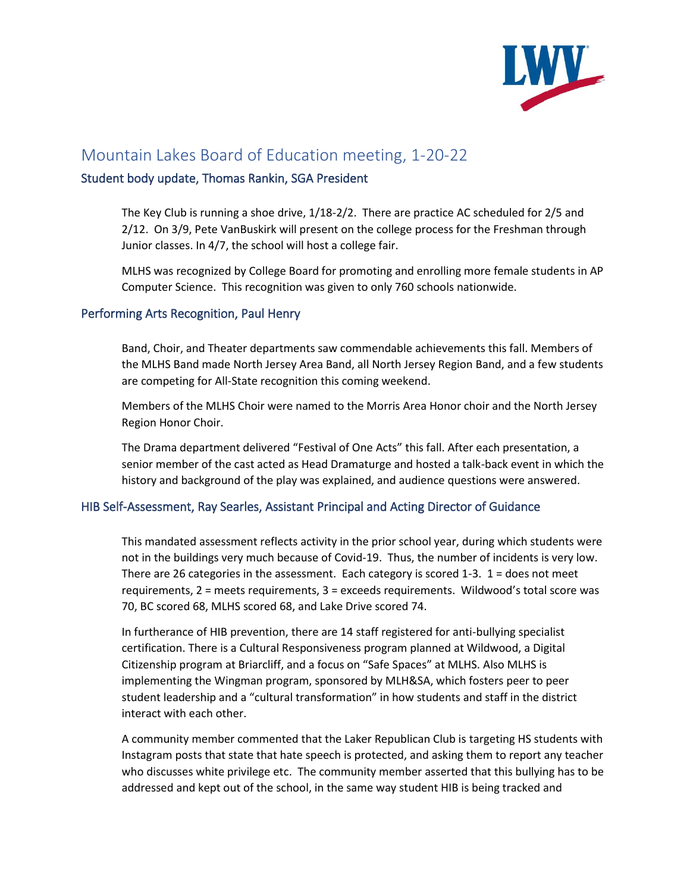

# Mountain Lakes Board of Education meeting, 1-20-22

## Student body update, Thomas Rankin, SGA President

The Key Club is running a shoe drive, 1/18-2/2. There are practice AC scheduled for 2/5 and 2/12. On 3/9, Pete VanBuskirk will present on the college process for the Freshman through Junior classes. In 4/7, the school will host a college fair.

MLHS was recognized by College Board for promoting and enrolling more female students in AP Computer Science. This recognition was given to only 760 schools nationwide.

## Performing Arts Recognition, Paul Henry

Band, Choir, and Theater departments saw commendable achievements this fall. Members of the MLHS Band made North Jersey Area Band, all North Jersey Region Band, and a few students are competing for All-State recognition this coming weekend.

Members of the MLHS Choir were named to the Morris Area Honor choir and the North Jersey Region Honor Choir.

The Drama department delivered "Festival of One Acts" this fall. After each presentation, a senior member of the cast acted as Head Dramaturge and hosted a talk-back event in which the history and background of the play was explained, and audience questions were answered.

# HIB Self-Assessment, Ray Searles, Assistant Principal and Acting Director of Guidance

This mandated assessment reflects activity in the prior school year, during which students were not in the buildings very much because of Covid-19. Thus, the number of incidents is very low. There are 26 categories in the assessment. Each category is scored 1-3. 1 = does not meet requirements, 2 = meets requirements, 3 = exceeds requirements. Wildwood's total score was 70, BC scored 68, MLHS scored 68, and Lake Drive scored 74.

In furtherance of HIB prevention, there are 14 staff registered for anti-bullying specialist certification. There is a Cultural Responsiveness program planned at Wildwood, a Digital Citizenship program at Briarcliff, and a focus on "Safe Spaces" at MLHS. Also MLHS is implementing the Wingman program, sponsored by MLH&SA, which fosters peer to peer student leadership and a "cultural transformation" in how students and staff in the district interact with each other.

A community member commented that the Laker Republican Club is targeting HS students with Instagram posts that state that hate speech is protected, and asking them to report any teacher who discusses white privilege etc. The community member asserted that this bullying has to be addressed and kept out of the school, in the same way student HIB is being tracked and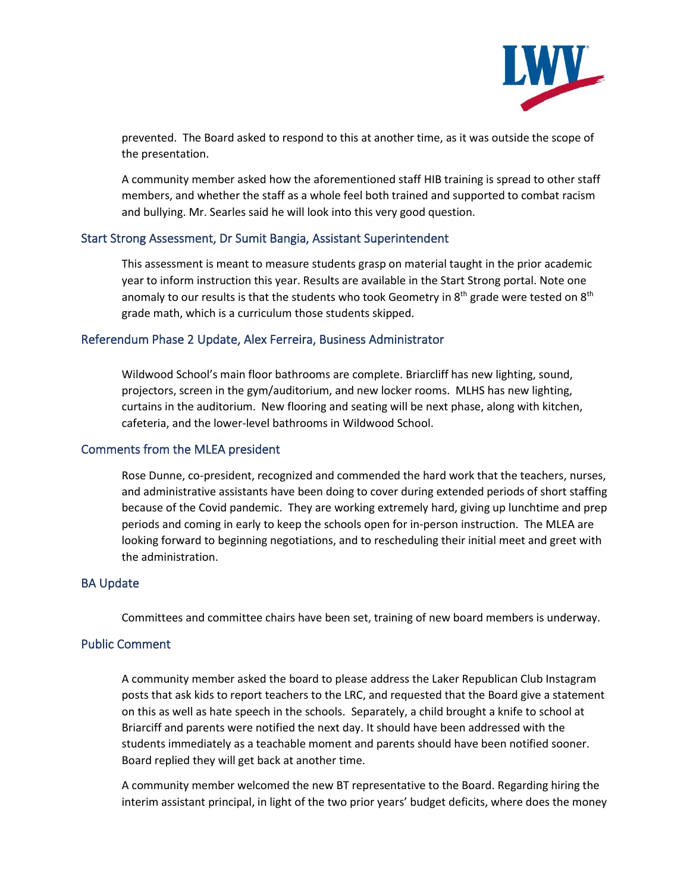

prevented. The Board asked to respond to this at another time, as it was outside the scope of the presentation.

A community member asked how the aforementioned staff HIB training is spread to other staff members, and whether the staff as a whole feel both trained and supported to combat racism and bullying. Mr. Searles said he will look into this very good question.

## Start Strong Assessment, Dr Sumit Bangia, Assistant Superintendent

This assessment is meant to measure students grasp on material taught in the prior academic year to inform instruction this year. Results are available in the Start Strong portal. Note one anomaly to our results is that the students who took Geometry in  $8<sup>th</sup>$  grade were tested on  $8<sup>th</sup>$ grade math, which is a curriculum those students skipped.

#### Referendum Phase 2 Update, Alex Ferreira, Business Administrator

Wildwood School's main floor bathrooms are complete. Briarcliff has new lighting, sound, projectors, screen in the gym/auditorium, and new locker rooms. MLHS has new lighting, curtains in the auditorium. New flooring and seating will be next phase, along with kitchen, cafeteria, and the lower-level bathrooms in Wildwood School.

### Comments from the MLEA president

Rose Dunne, co-president, recognized and commended the hard work that the teachers, nurses, and administrative assistants have been doing to cover during extended periods of short staffing because of the Covid pandemic. They are working extremely hard, giving up lunchtime and prep periods and coming in early to keep the schools open for in-person instruction. The MLEA are looking forward to beginning negotiations, and to rescheduling their initial meet and greet with the administration.

# BA Update

Committees and committee chairs have been set, training of new board members is underway.

#### Public Comment

A community member asked the board to please address the Laker Republican Club Instagram posts that ask kids to report teachers to the LRC, and requested that the Board give a statement on this as well as hate speech in the schools. Separately, a child brought a knife to school at Briarciff and parents were notified the next day. It should have been addressed with the students immediately as a teachable moment and parents should have been notified sooner. Board replied they will get back at another time.

A community member welcomed the new BT representative to the Board. Regarding hiring the interim assistant principal, in light of the two prior years' budget deficits, where does the money